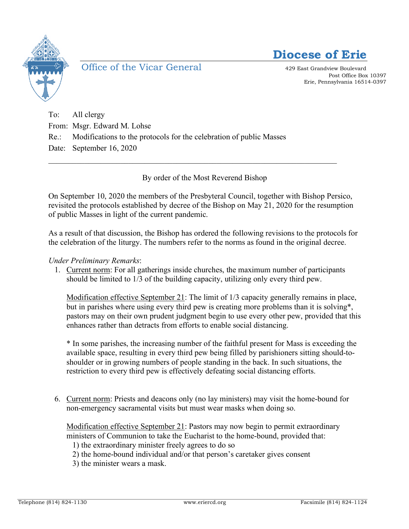

Office of the Vicar General 429 East Grandview Boulevard



Post Office Box 10397 Erie, Pennsylvania 16514-0397

To: All clergy From: Msgr. Edward M. Lohse Re.: Modifications to the protocols for the celebration of public Masses Date: September 16, 2020

By order of the Most Reverend Bishop

 $\mathcal{L}_\text{max}$  , and the contribution of the contribution of the contribution of the contribution of the contribution of the contribution of the contribution of the contribution of the contribution of the contribution of t

On September 10, 2020 the members of the Presbyteral Council, together with Bishop Persico, revisited the protocols established by decree of the Bishop on May 21, 2020 for the resumption of public Masses in light of the current pandemic.

As a result of that discussion, the Bishop has ordered the following revisions to the protocols for the celebration of the liturgy. The numbers refer to the norms as found in the original decree.

## *Under Preliminary Remarks*:

1. Current norm: For all gatherings inside churches, the maximum number of participants should be limited to 1/3 of the building capacity, utilizing only every third pew.

Modification effective September 21: The limit of 1/3 capacity generally remains in place, but in parishes where using every third pew is creating more problems than it is solving\*, pastors may on their own prudent judgment begin to use every other pew, provided that this enhances rather than detracts from efforts to enable social distancing.

\* In some parishes, the increasing number of the faithful present for Mass is exceeding the available space, resulting in every third pew being filled by parishioners sitting should-toshoulder or in growing numbers of people standing in the back. In such situations, the restriction to every third pew is effectively defeating social distancing efforts.

6. Current norm: Priests and deacons only (no lay ministers) may visit the home-bound for non-emergency sacramental visits but must wear masks when doing so.

Modification effective September 21: Pastors may now begin to permit extraordinary ministers of Communion to take the Eucharist to the home-bound, provided that:

1) the extraordinary minister freely agrees to do so

2) the home-bound individual and/or that person's caretaker gives consent

3) the minister wears a mask.